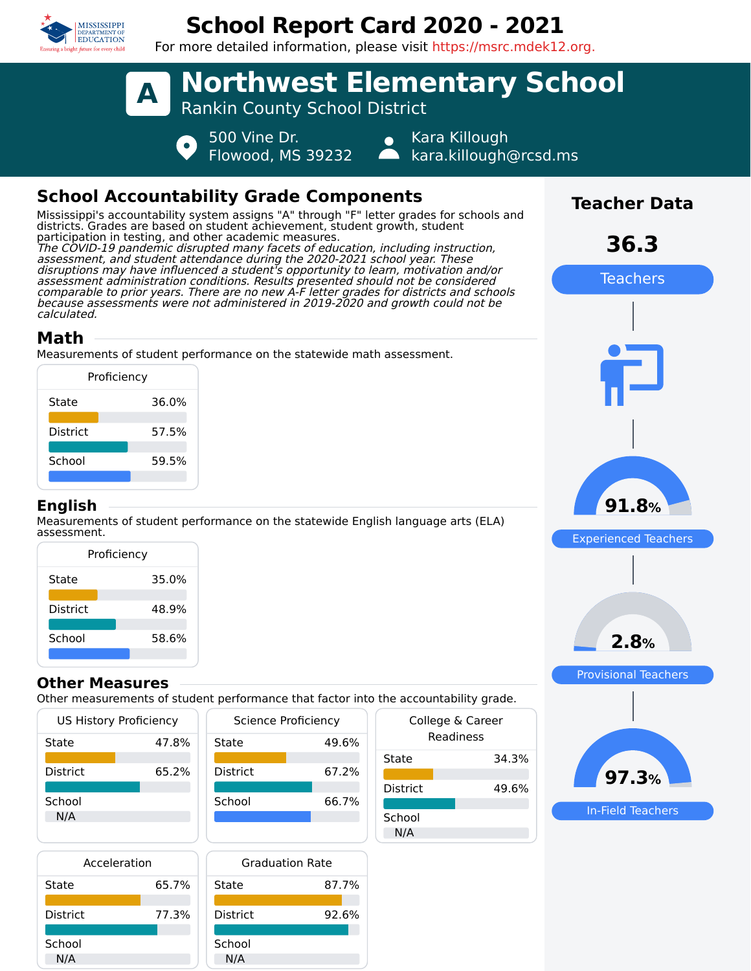

# **School Report Card 2020 - 2021**

For more detailed information, please visit https://msrc.mdek12.org.



## **School Accountability Grade Components**

Mississippi's accountability system assigns "A" through "F" letter grades for schools and districts. Grades are based on student achievement, student growth, student participation in testing, and other academic measures. The COVID-19 pandemic disrupted many facets of education, including instruction, assessment, and student attendance during the 2020-2021 school year. These disruptions may have influenced a student's opportunity to learn, motivation and/or assessment administration conditions. Results presented should not be considered comparable to prior years. There are no new A-F letter grades for districts and schools because assessments were not administered in 2019-2020 and growth could not be calculated.

## **Math**

Measurements of student performance on the statewide math assessment.

| Proficiency     |       |  |  |
|-----------------|-------|--|--|
| State           | 36.0% |  |  |
| <b>District</b> | 57.5% |  |  |
| School          | 59.5% |  |  |
|                 |       |  |  |

#### **English**

Measurements of student performance on the statewide English language arts (ELA) assessment.

| Proficiency     |       |  |  |  |
|-----------------|-------|--|--|--|
| State           | 35.0% |  |  |  |
| <b>District</b> | 48.9% |  |  |  |
| School          | 58.6% |  |  |  |
|                 |       |  |  |  |

#### **Other Measures**

Other measurements of student performance that factor into the accountability grade.

| US History Proficiency | Scien |                 |
|------------------------|-------|-----------------|
| State                  | 47.8% | State           |
|                        |       |                 |
| <b>District</b>        | 65.2% | <b>District</b> |
|                        |       |                 |
| School                 |       | School          |
| N/A                    |       |                 |
|                        |       |                 |
|                        |       |                 |



| Acceleration    |       |       |
|-----------------|-------|-------|
| State           | 65.7% | Stat  |
| <b>District</b> | 77.3% | Disti |
| School          |       | Scho  |
| N/A             |       |       |



| uic accountability grauc.     |       |  |  |  |
|-------------------------------|-------|--|--|--|
| College & Career<br>Readiness |       |  |  |  |
| State                         | 34.3% |  |  |  |
| <b>District</b>               | 49.6% |  |  |  |
| School<br>N/A                 |       |  |  |  |